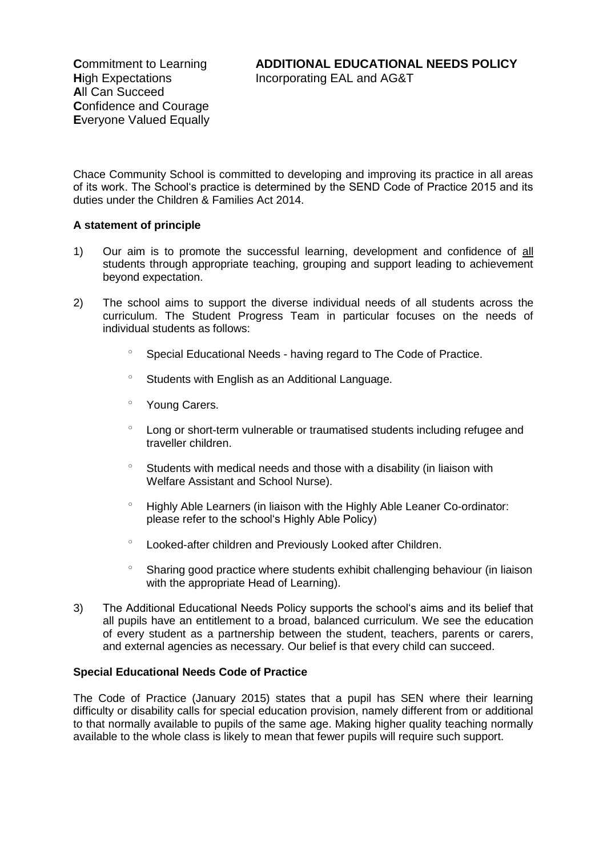Chace Community School is committed to developing and improving its practice in all areas of its work. The School's practice is determined by the SEND Code of Practice 2015 and its duties under the Children & Families Act 2014.

# **A statement of principle**

- 1) Our aim is to promote the successful learning, development and confidence of all students through appropriate teaching, grouping and support leading to achievement beyond expectation.
- 2) The school aims to support the diverse individual needs of all students across the curriculum. The Student Progress Team in particular focuses on the needs of individual students as follows:
	- <sup>o</sup> Special Educational Needs having regard to The Code of Practice.
	- $\degree$  Students with English as an Additional Language.
	- Young Carers.
	- Long or short-term vulnerable or traumatised students including refugee and traveller children.
	- Students with medical needs and those with a disability (in liaison with Welfare Assistant and School Nurse).
	- <sup>o</sup> Highly Able Learners (in liaison with the Highly Able Leaner Co-ordinator: please refer to the school's Highly Able Policy)
	- Looked-after children and Previously Looked after Children.
	- Sharing good practice where students exhibit challenging behaviour (in liaison with the appropriate Head of Learning).
- 3) The Additional Educational Needs Policy supports the school's aims and its belief that all pupils have an entitlement to a broad, balanced curriculum. We see the education of every student as a partnership between the student, teachers, parents or carers, and external agencies as necessary. Our belief is that every child can succeed.

#### **Special Educational Needs Code of Practice**

The Code of Practice (January 2015) states that a pupil has SEN where their learning difficulty or disability calls for special education provision, namely different from or additional to that normally available to pupils of the same age. Making higher quality teaching normally available to the whole class is likely to mean that fewer pupils will require such support.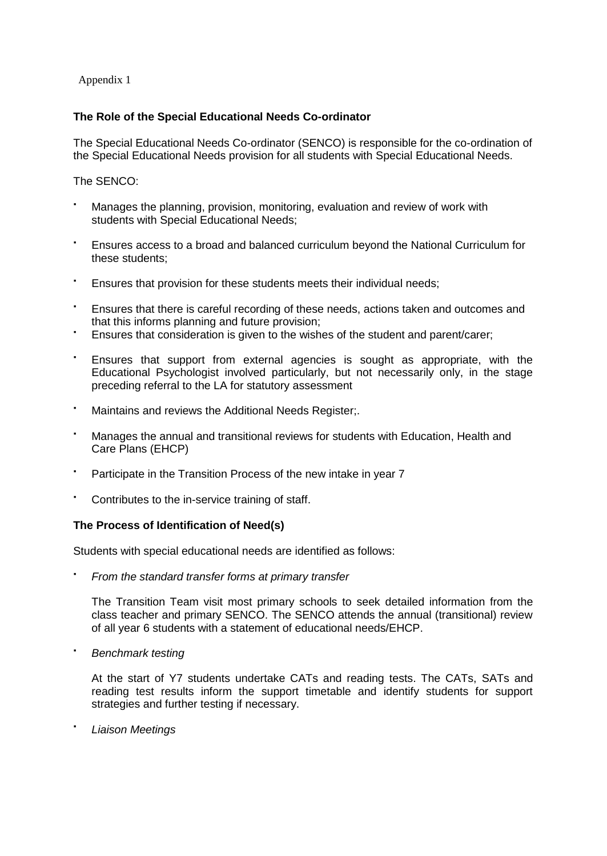Appendix 1

## **The Role of the Special Educational Needs Co-ordinator**

The Special Educational Needs Co-ordinator (SENCO) is responsible for the co-ordination of the Special Educational Needs provision for all students with Special Educational Needs.

The SENCO:

- Manages the planning, provision, monitoring, evaluation and review of work with students with Special Educational Needs;
- Ensures access to a broad and balanced curriculum beyond the National Curriculum for these students;
- Ensures that provision for these students meets their individual needs;
- Ensures that there is careful recording of these needs, actions taken and outcomes and that this informs planning and future provision;
- Ensures that consideration is given to the wishes of the student and parent/carer;
- Ensures that support from external agencies is sought as appropriate, with the Educational Psychologist involved particularly, but not necessarily only, in the stage preceding referral to the LA for statutory assessment
- Maintains and reviews the Additional Needs Register;.
- Manages the annual and transitional reviews for students with Education, Health and Care Plans (EHCP)
- Participate in the Transition Process of the new intake in year 7
- Contributes to the in-service training of staff.

# **The Process of Identification of Need(s)**

Students with special educational needs are identified as follows:

*From the standard transfer forms at primary transfer*

The Transition Team visit most primary schools to seek detailed information from the class teacher and primary SENCO. The SENCO attends the annual (transitional) review of all year 6 students with a statement of educational needs/EHCP.

*Benchmark testing*

At the start of Y7 students undertake CATs and reading tests. The CATs, SATs and reading test results inform the support timetable and identify students for support strategies and further testing if necessary.

*Liaison Meetings*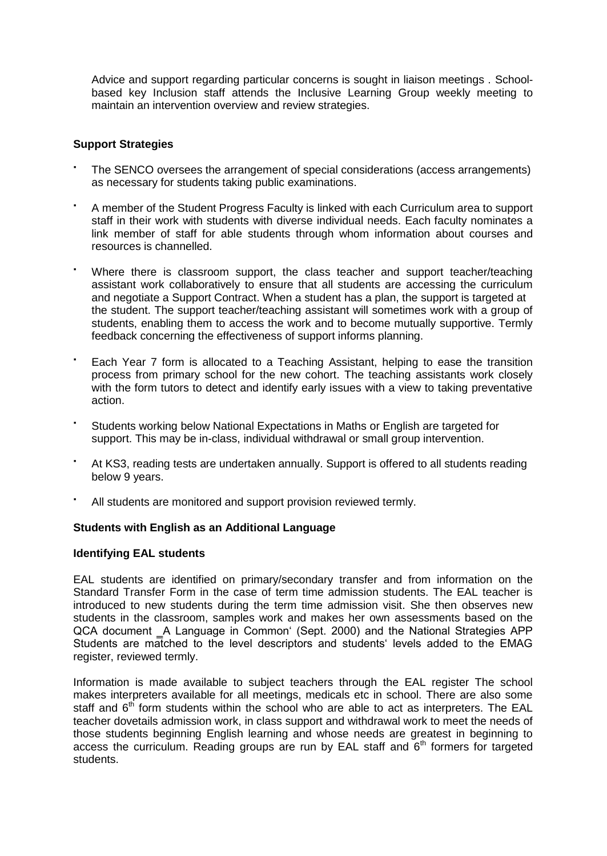Advice and support regarding particular concerns is sought in liaison meetings . Schoolbased key Inclusion staff attends the Inclusive Learning Group weekly meeting to maintain an intervention overview and review strategies.

# **Support Strategies**

- The SENCO oversees the arrangement of special considerations (access arrangements) as necessary for students taking public examinations.
- A member of the Student Progress Faculty is linked with each Curriculum area to support staff in their work with students with diverse individual needs. Each faculty nominates a link member of staff for able students through whom information about courses and resources is channelled.
- Where there is classroom support, the class teacher and support teacher/teaching assistant work collaboratively to ensure that all students are accessing the curriculum and negotiate a Support Contract. When a student has a plan, the support is targeted at the student. The support teacher/teaching assistant will sometimes work with a group of students, enabling them to access the work and to become mutually supportive. Termly feedback concerning the effectiveness of support informs planning.
- Each Year 7 form is allocated to a Teaching Assistant, helping to ease the transition process from primary school for the new cohort. The teaching assistants work closely with the form tutors to detect and identify early issues with a view to taking preventative action.
- Students working below National Expectations in Maths or English are targeted for support. This may be in-class, individual withdrawal or small group intervention.
- At KS3, reading tests are undertaken annually. Support is offered to all students reading below 9 years.
- All students are monitored and support provision reviewed termly.

# **Students with English as an Additional Language**

# **Identifying EAL students**

EAL students are identified on primary/secondary transfer and from information on the Standard Transfer Form in the case of term time admission students. The EAL teacher is introduced to new students during the term time admission visit. She then observes new students in the classroom, samples work and makes her own assessments based on the QCA document ‗A Language in Common' (Sept. 2000) and the National Strategies APP Students are matched to the level descriptors and students' levels added to the EMAG register, reviewed termly.

Information is made available to subject teachers through the EAL register The school makes interpreters available for all meetings, medicals etc in school. There are also some staff and  $6<sup>th</sup>$  form students within the school who are able to act as interpreters. The EAL teacher dovetails admission work, in class support and withdrawal work to meet the needs of those students beginning English learning and whose needs are greatest in beginning to access the curriculum. Reading groups are run by EAL staff and  $6<sup>th</sup>$  formers for targeted students.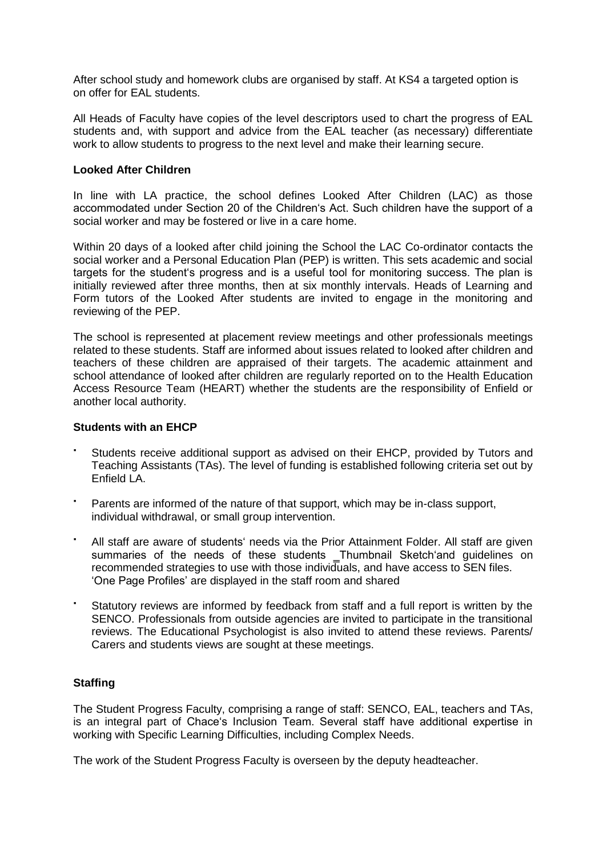After school study and homework clubs are organised by staff. At KS4 a targeted option is on offer for EAL students.

All Heads of Faculty have copies of the level descriptors used to chart the progress of EAL students and, with support and advice from the EAL teacher (as necessary) differentiate work to allow students to progress to the next level and make their learning secure.

## **Looked After Children**

In line with LA practice, the school defines Looked After Children (LAC) as those accommodated under Section 20 of the Children's Act. Such children have the support of a social worker and may be fostered or live in a care home.

Within 20 days of a looked after child joining the School the LAC Co-ordinator contacts the social worker and a Personal Education Plan (PEP) is written. This sets academic and social targets for the student's progress and is a useful tool for monitoring success. The plan is initially reviewed after three months, then at six monthly intervals. Heads of Learning and Form tutors of the Looked After students are invited to engage in the monitoring and reviewing of the PEP.

The school is represented at placement review meetings and other professionals meetings related to these students. Staff are informed about issues related to looked after children and teachers of these children are appraised of their targets. The academic attainment and school attendance of looked after children are regularly reported on to the Health Education Access Resource Team (HEART) whether the students are the responsibility of Enfield or another local authority.

#### **Students with an EHCP**

- Students receive additional support as advised on their EHCP, provided by Tutors and Teaching Assistants (TAs). The level of funding is established following criteria set out by Enfield LA.
- Parents are informed of the nature of that support, which may be in-class support, individual withdrawal, or small group intervention.
- All staff are aware of students' needs via the Prior Attainment Folder. All staff are given summaries of the needs of these students \_Thumbnail Sketch'and guidelines on recommended strategies to use with those individuals, and have access to SEN files. 'One Page Profiles' are displayed in the staff room and shared
- Statutory reviews are informed by feedback from staff and a full report is written by the SENCO. Professionals from outside agencies are invited to participate in the transitional reviews. The Educational Psychologist is also invited to attend these reviews. Parents/ Carers and students views are sought at these meetings.

#### **Staffing**

The Student Progress Faculty, comprising a range of staff: SENCO, EAL, teachers and TAs, is an integral part of Chace's Inclusion Team. Several staff have additional expertise in working with Specific Learning Difficulties, including Complex Needs.

The work of the Student Progress Faculty is overseen by the deputy headteacher.